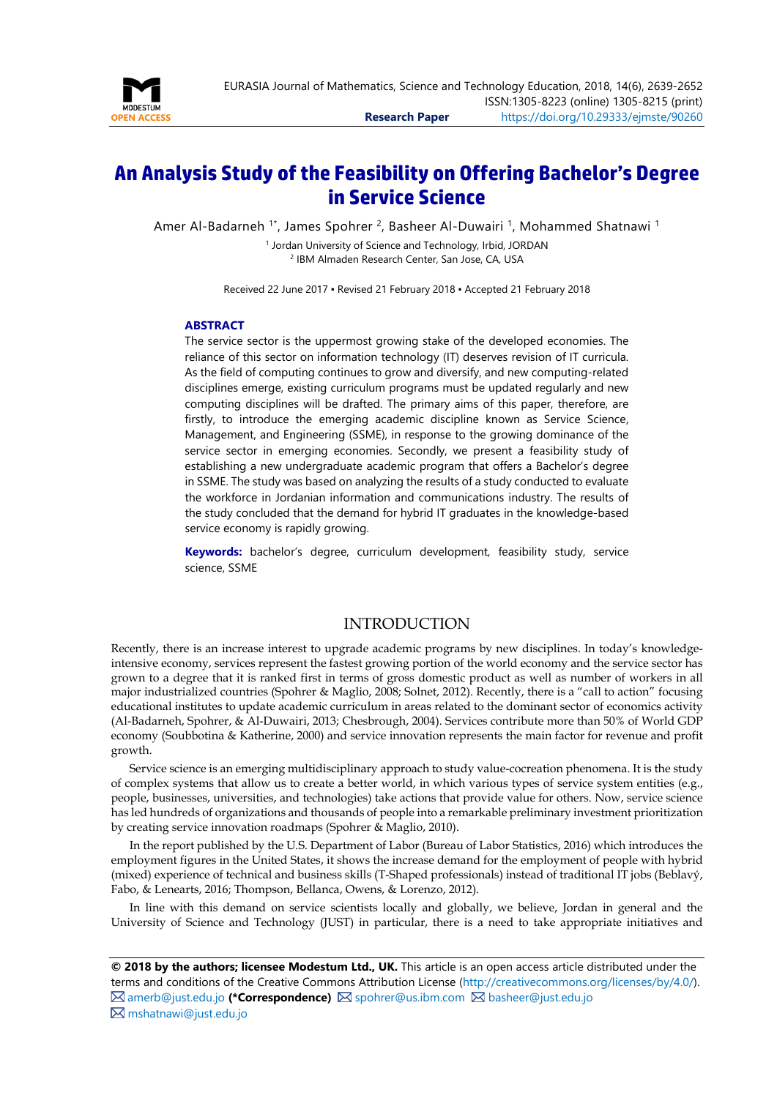

# **An Analysis Study of the Feasibility on Offering Bachelor's Degree in Service Science**

Amer Al-Badarneh <sup>1\*</sup>, James Spohrer <sup>2</sup>, Basheer Al-Duwairi <sup>1</sup>, Mohammed Shatnawi <sup>1</sup>

<sup>1</sup> Jordan University of Science and Technology, Irbid, JORDAN <sup>2</sup> IBM Almaden Research Center, San Jose, CA, USA

Received 22 June 2017 ▪ Revised 21 February 2018 ▪ Accepted 21 February 2018

### <span id="page-0-0"></span>**ABSTRACT**

The service sector is the uppermost growing stake of the developed economies. The reliance of this sector on information technology (IT) deserves revision of IT curricula. As the field of computing continues to grow and diversify, and new computing-related disciplines emerge, existing curriculum programs must be updated regularly and new computing disciplines will be drafted. The primary aims of this paper, therefore, are firstly, to introduce the emerging academic discipline known as Service Science, Management, and Engineering (SSME), in response to the growing dominance of the service sector in emerging economies. Secondly, we present a feasibility study of establishing a new undergraduate academic program that offers a Bachelor's degree in SSME. The study was based on analyzing the results of a study conducted to evaluate the workforce in Jordanian information and communications industry. The results of the study concluded that the demand for hybrid IT graduates in the knowledge-based service economy is rapidly growing.

**Keywords:** bachelor's degree, curriculum development, feasibility study, service science, SSME

## INTRODUCTION

Recently, there is an increase interest to upgrade academic programs by new disciplines. In today's knowledgeintensive economy, services represent the fastest growing portion of the world economy and the service sector has grown to a degree that it is ranked first in terms of gross domestic product as well as number of workers in all major industrialized countries (Spohrer & Maglio, 2008; Solnet, 2012). Recently, there is a "call to action" focusing educational institutes to update academic curriculum in areas related to the dominant sector of economics activity (Al-Badarneh, Spohrer, & Al-Duwairi, 2013; Chesbrough, 2004). Services contribute more than 50% of World GDP economy (Soubbotina & Katherine, 2000) and service innovation represents the main factor for revenue and profit growth.

Service science is an emerging multidisciplinary approach to study value-cocreation phenomena. It is the study of complex systems that allow us to create a better world, in which various types of service system entities (e.g., people, businesses, universities, and technologies) take actions that provide value for others. Now, service science has led hundreds of organizations and thousands of people into a remarkable preliminary investment prioritization by creating service innovation roadmaps (Spohrer & Maglio, 2010).

In the report published by the U.S. Department of Labor (Bureau of Labor Statistics, 2016) which introduces the employment figures in the United States, it shows the increase demand for the employment of people with hybrid (mixed) experience of technical and business skills (T-Shaped professionals) instead of traditional IT jobs (Beblavý, Fabo, & Lenearts, 2016; Thompson, Bellanca, Owens, & Lorenzo, 2012).

In line with this demand on service scientists locally and globally, we believe, Jordan in general and the University of Science and Technology (JUST) in particular, there is a need to take appropriate initiatives and

**© 2018 by the authors; licensee Modestum Ltd., UK.** This article is an open access article distributed under the terms and conditions of the Creative Commons Attribution License [\(http://creativecommons.org/licenses/by/4.0/\)](http://creativecommons.org/licenses/by/4.0/). **⊠** [amerb@just.edu.jo](mailto:amerb@just.edu.jo) (\*Correspondence) **Ø** [spohrer@us.ibm.com](mailto:spohrer@us.ibm.com) **Ø** [basheer@just.edu.jo](mailto:basheer@just.edu.jo) [mshatnawi@just.edu.jo](mailto:mshatnawi@just.edu.jo)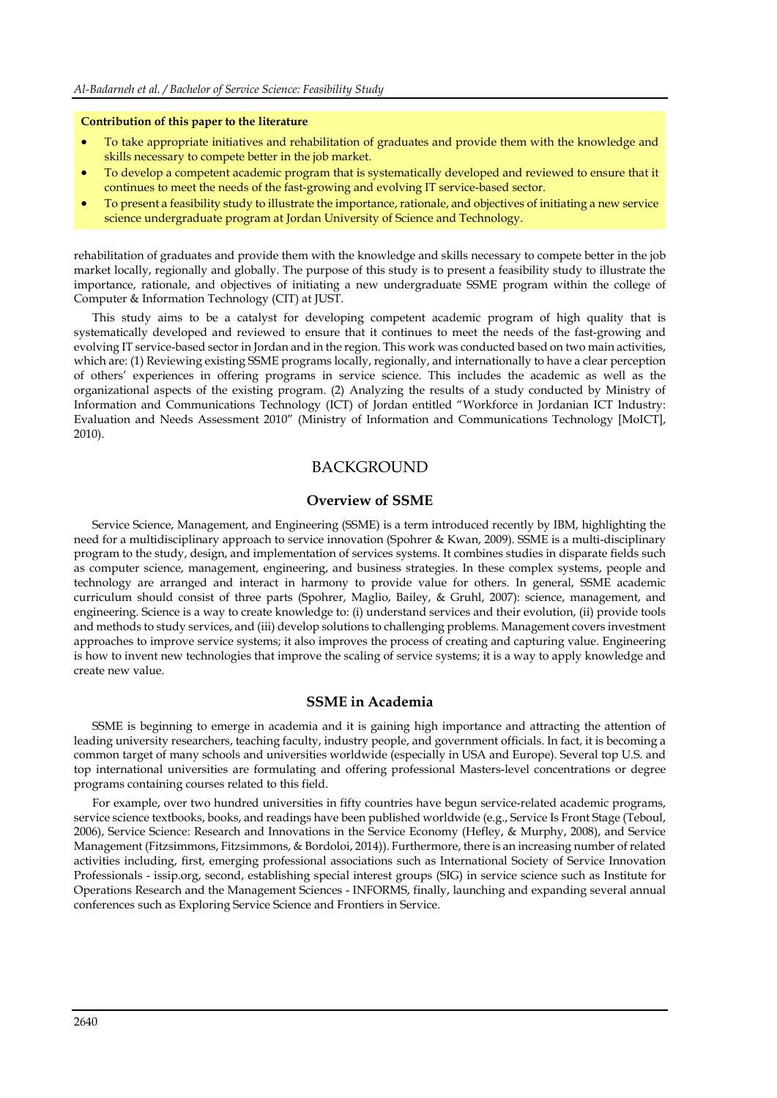### **Contribution of this paper to the literature**

- To take appropriate initiatives and rehabilitation of graduates and provide them with the knowledge and skills necessary to compete better in the job market.
- To develop a competent academic program that is systematically developed and reviewed to ensure that it continues to meet the needs of the fast-growing and evolving IT service-based sector.
- To present a feasibility study to illustrate the importance, rationale, and objectives of initiating a new service science undergraduate program at Jordan University of Science and Technology.

rehabilitation of graduates and provide them with the knowledge and skills necessary to compete better in the job market locally, regionally and globally. The purpose of this study is to present a feasibility study to illustrate the importance, rationale, and objectives of initiating a new undergraduate SSME program within the college of Computer & Information Technology (CIT) at JUST.

This study aims to be a catalyst for developing competent academic program of high quality that is systematically developed and reviewed to ensure that it continues to meet the needs of the fast-growing and evolving IT service-based sector in Jordan and in the region. This work was conducted based on two main activities, which are: (1) Reviewing existing SSME programs locally, regionally, and internationally to have a clear perception of others' experiences in offering programs in service science. This includes the academic as well as the organizational aspects of the existing program. (2) Analyzing the results of a study conducted by Ministry of Information and Communications Technology (ICT) of Jordan entitled "Workforce in Jordanian ICT Industry: Evaluation and Needs Assessment 2010" (Ministry of Information and Communications Technology [MoICT], 2010).

## BACKGROUND

### **Overview of SSME**

Service Science, Management, and Engineering (SSME) is a term introduced recently by IBM, highlighting the need for a multidisciplinary approach to service innovation (Spohrer & Kwan, 2009). SSME is a multi-disciplinary program to the study, design, and implementation of services systems. It combines studies in disparate fields such as computer science, management, engineering, and business strategies. In these complex systems, people and technology are arranged and interact in harmony to provide value for others. In general, SSME academic curriculum should consist of three parts (Spohrer, Maglio, Bailey, & Gruhl, 2007): science, management, and engineering. Science is a way to create knowledge to: (i) understand services and their evolution, (ii) provide tools and methods to study services, and (iii) develop solutions to challenging problems. Management covers investment approaches to improve service systems; it also improves the process of creating and capturing value. Engineering is how to invent new technologies that improve the scaling of service systems; it is a way to apply knowledge and create new value.

### **SSME in Academia**

SSME is beginning to emerge in academia and it is gaining high importance and attracting the attention of leading university researchers, teaching faculty, industry people, and government officials. In fact, it is becoming a common target of many schools and universities worldwide (especially in USA and Europe). Several top U.S. and top international universities are formulating and offering professional Masters-level concentrations or degree programs containing courses related to this field.

For example, over two hundred universities in fifty countries have begun service-related academic programs, service science textbooks, books, and readings have been published worldwide (e.g., Service Is Front Stage (Teboul, 2006), Service Science: Research and Innovations in the Service Economy (Hefley, & Murphy, 2008), and Service Management (Fitzsimmons, Fitzsimmons, & Bordoloi, 2014)). Furthermore, there is an increasing number of related activities including, first, emerging professional associations such as International Society of Service Innovation Professionals - issip.org, second, establishing special interest groups (SIG) in service science such as Institute for Operations Research and the Management Sciences - INFORMS, finally, launching and expanding several annual conferences such as Exploring Service Science and Frontiers in Service.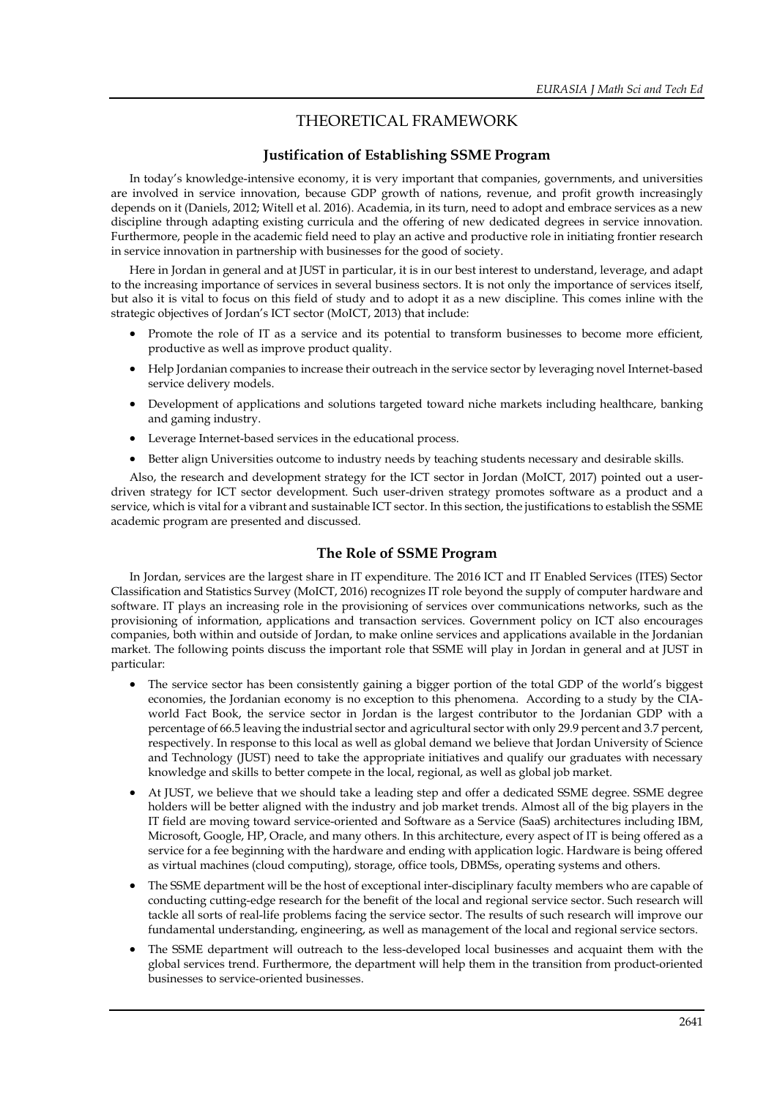## THEORETICAL FRAMEWORK

## **Justification of Establishing SSME Program**

In today's knowledge-intensive economy, it is very important that companies, governments, and universities are involved in service innovation, because GDP growth of nations, revenue, and profit growth increasingly depends on it (Daniels, 2012; Witell et al. 2016). Academia, in its turn, need to adopt and embrace services as a new discipline through adapting existing curricula and the offering of new dedicated degrees in service innovation. Furthermore, people in the academic field need to play an active and productive role in initiating frontier research in service innovation in partnership with businesses for the good of society.

Here in Jordan in general and at JUST in particular, it is in our best interest to understand, leverage, and adapt to the increasing importance of services in several business sectors. It is not only the importance of services itself, but also it is vital to focus on this field of study and to adopt it as a new discipline. This comes inline with the strategic objectives of Jordan's ICT sector (MoICT, 2013) that include:

- Promote the role of IT as a service and its potential to transform businesses to become more efficient, productive as well as improve product quality.
- Help Jordanian companies to increase their outreach in the service sector by leveraging novel Internet-based service delivery models.
- Development of applications and solutions targeted toward niche markets including healthcare, banking and gaming industry.
- Leverage Internet-based services in the educational process.
- Better align Universities outcome to industry needs by teaching students necessary and desirable skills.

Also, the research and development strategy for the ICT sector in Jordan (MoICT, 2017) pointed out a userdriven strategy for ICT sector development. Such user-driven strategy promotes software as a product and a service, which is vital for a vibrant and sustainable ICT sector. In this section, the justifications to establish the SSME academic program are presented and discussed.

## **The Role of SSME Program**

In Jordan, services are the largest share in IT expenditure. The 2016 ICT and IT Enabled Services (ITES) Sector Classification and Statistics Survey (MoICT, 2016) recognizes IT role beyond the supply of computer hardware and software. IT plays an increasing role in the provisioning of services over communications networks, such as the provisioning of information, applications and transaction services. Government policy on ICT also encourages companies, both within and outside of Jordan, to make online services and applications available in the Jordanian market. The following points discuss the important role that SSME will play in Jordan in general and at JUST in particular:

- The service sector has been consistently gaining a bigger portion of the total GDP of the world's biggest economies, the Jordanian economy is no exception to this phenomena. According to a study by the CIAworld Fact Book, the service sector in Jordan is the largest contributor to the Jordanian GDP with a percentage of 66.5 leaving the industrial sector and agricultural sector with only 29.9 percent and 3.7 percent, respectively. In response to this local as well as global demand we believe that Jordan University of Science and Technology (JUST) need to take the appropriate initiatives and qualify our graduates with necessary knowledge and skills to better compete in the local, regional, as well as global job market.
- At JUST, we believe that we should take a leading step and offer a dedicated SSME degree. SSME degree holders will be better aligned with the industry and job market trends. Almost all of the big players in the IT field are moving toward service-oriented and Software as a Service (SaaS) architectures including IBM, Microsoft, Google, HP, Oracle, and many others. In this architecture, every aspect of IT is being offered as a service for a fee beginning with the hardware and ending with application logic. Hardware is being offered as virtual machines (cloud computing), storage, office tools, DBMSs, operating systems and others.
- The SSME department will be the host of exceptional inter-disciplinary faculty members who are capable of conducting cutting-edge research for the benefit of the local and regional service sector. Such research will tackle all sorts of real-life problems facing the service sector. The results of such research will improve our fundamental understanding, engineering, as well as management of the local and regional service sectors.
- The SSME department will outreach to the less-developed local businesses and acquaint them with the global services trend. Furthermore, the department will help them in the transition from product-oriented businesses to service-oriented businesses.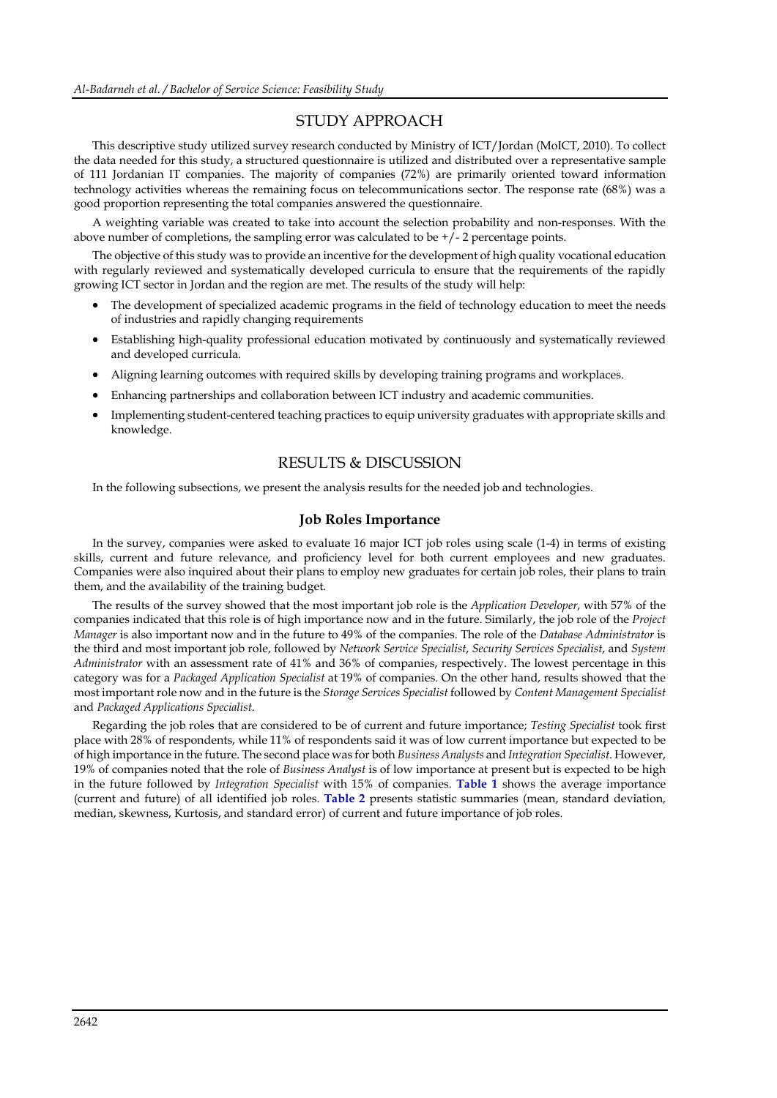## STUDY APPROACH

This descriptive study utilized survey research conducted by Ministry of ICT/Jordan (MoICT, 2010). To collect the data needed for this study, a structured questionnaire is utilized and distributed over a representative sample of 111 Jordanian IT companies. The majority of companies (72%) are primarily oriented toward information technology activities whereas the remaining focus on telecommunications sector. The response rate (68%) was a good proportion representing the total companies answered the questionnaire.

A weighting variable was created to take into account the selection probability and non-responses. With the above number of completions, the sampling error was calculated to be  $+/-2$  percentage points.

The objective of this study was to provide an incentive for the development of high quality vocational education with regularly reviewed and systematically developed curricula to ensure that the requirements of the rapidly growing ICT sector in Jordan and the region are met. The results of the study will help:

- The development of specialized academic programs in the field of technology education to meet the needs of industries and rapidly changing requirements
- Establishing high-quality professional education motivated by continuously and systematically reviewed and developed curricula.
- Aligning learning outcomes with required skills by developing training programs and workplaces.
- Enhancing partnerships and collaboration between ICT industry and academic communities.
- Implementing student-centered teaching practices to equip university graduates with appropriate skills and knowledge.

## RESULTS & DISCUSSION

In the following subsections, we present the analysis results for the needed job and technologies.

### **Job Roles Importance**

In the survey, companies were asked to evaluate 16 major ICT job roles using scale (1-4) in terms of existing skills, current and future relevance, and proficiency level for both current employees and new graduates. Companies were also inquired about their plans to employ new graduates for certain job roles, their plans to train them, and the availability of the training budget.

The results of the survey showed that the most important job role is the *Application Developer*, with 57% of the companies indicated that this role is of high importance now and in the future. Similarly, the job role of the *Project Manager* is also important now and in the future to 49% of the companies. The role of the *Database Administrator* is the third and most important job role, followed by *Network Service Specialist*, *Security Services Specialist*, and *System Administrator* with an assessment rate of 41% and 36% of companies, respectively. The lowest percentage in this category was for a *Packaged Application Specialist* at 19% of companies. On the other hand, results showed that the most important role now and in the future is the *Storage Services Specialist* followed by *Content Management Specialist* and *Packaged Applications Specialist*.

Regarding the job roles that are considered to be of current and future importance; *Testing Specialist* took first place with 28% of respondents, while 11% of respondents said it was of low current importance but expected to be of high importance in the future. The second place was for both *Business Analysts* and *Integration Specialist*. However, 19% of companies noted that the role of *Business Analyst* is of low importance at present but is expected to be high in the future followed by *Integration Specialist* with 15% of companies. **Table 1** shows the average importance (current and future) of all identified job roles. **Table 2** presents statistic summaries (mean, standard deviation, median, skewness, Kurtosis, and standard error) of current and future importance of job roles.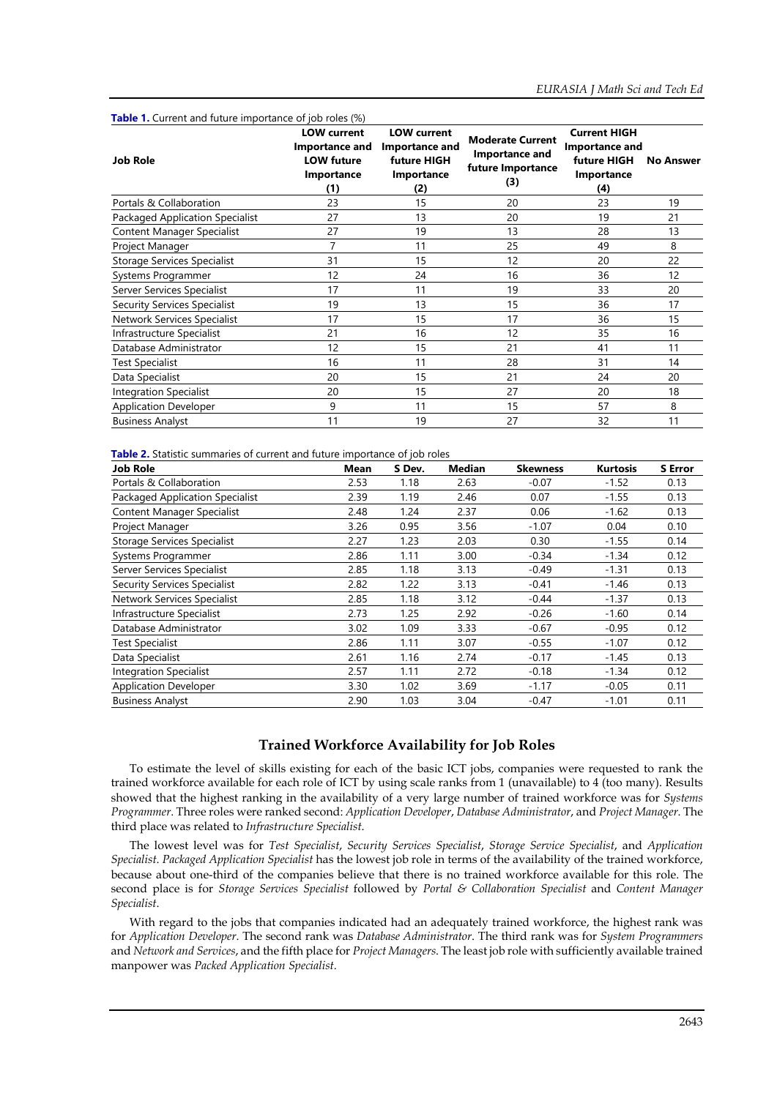**Job Role LOW current Importance and LOW future Importance (1) LOW current Importance and future HIGH Importance (2) Moderate Current Importance and future Importance (3) Current HIGH Importance and future HIGH No Answer Importance (4)** Portals & Collaboration 23 20 23 19 Packaged Application Specialist 27 13 20 19 21 Content Manager Specialist 27 19 13 28 13 Project Manager **7** 11 25 49 8 Storage Services Specialist 31 31 15 12 20 22 Systems Programmer 12 12 12 24 16 36 12 Server Services Specialist 17 11 19 33 20 Security Services Specialist 19 13 15 15 36 17 Network Services Specialist 17 15 17 17 36 15 Infrastructure Specialist 16 16 12 16 16 12 35 16 Database Administrator 12 12 15 11 11 11 11 11 11 11 Test Specialist 16 11 28 31 14 Data Specialist 20 15 21 24 20 Integration Specialist 20 20 15 27 20 18 Application Developer 57 11 15 57 8 Business Analyst 11 19 19 27 32 11

**Table 1.** Current and future importance of job roles (%)

**Table 2.** Statistic summaries of current and future importance of job roles

| <b>Job Role</b>                    | Mean | S Dev. | Median | <b>Skewness</b> | <b>Kurtosis</b> | <b>S</b> Error |
|------------------------------------|------|--------|--------|-----------------|-----------------|----------------|
| Portals & Collaboration            | 2.53 | 1.18   | 2.63   | $-0.07$         | $-1.52$         | 0.13           |
| Packaged Application Specialist    | 2.39 | 1.19   | 2.46   | 0.07            | $-1.55$         | 0.13           |
| Content Manager Specialist         | 2.48 | 1.24   | 2.37   | 0.06            | $-1.62$         | 0.13           |
| Project Manager                    | 3.26 | 0.95   | 3.56   | $-1.07$         | 0.04            | 0.10           |
| <b>Storage Services Specialist</b> | 2.27 | 1.23   | 2.03   | 0.30            | $-1.55$         | 0.14           |
| Systems Programmer                 | 2.86 | 1.11   | 3.00   | $-0.34$         | $-1.34$         | 0.12           |
| Server Services Specialist         | 2.85 | 1.18   | 3.13   | $-0.49$         | $-1.31$         | 0.13           |
| Security Services Specialist       | 2.82 | 1.22   | 3.13   | $-0.41$         | $-1.46$         | 0.13           |
| Network Services Specialist        | 2.85 | 1.18   | 3.12   | $-0.44$         | $-1.37$         | 0.13           |
| Infrastructure Specialist          | 2.73 | 1.25   | 2.92   | $-0.26$         | $-1.60$         | 0.14           |
| Database Administrator             | 3.02 | 1.09   | 3.33   | $-0.67$         | $-0.95$         | 0.12           |
| <b>Test Specialist</b>             | 2.86 | 1.11   | 3.07   | $-0.55$         | $-1.07$         | 0.12           |
| Data Specialist                    | 2.61 | 1.16   | 2.74   | $-0.17$         | $-1.45$         | 0.13           |
| <b>Integration Specialist</b>      | 2.57 | 1.11   | 2.72   | $-0.18$         | $-1.34$         | 0.12           |
| <b>Application Developer</b>       | 3.30 | 1.02   | 3.69   | $-1.17$         | $-0.05$         | 0.11           |
| <b>Business Analyst</b>            | 2.90 | 1.03   | 3.04   | $-0.47$         | $-1.01$         | 0.11           |

### **Trained Workforce Availability for Job Roles**

To estimate the level of skills existing for each of the basic ICT jobs, companies were requested to rank the trained workforce available for each role of ICT by using scale ranks from 1 (unavailable) to 4 (too many). Results showed that the highest ranking in the availability of a very large number of trained workforce was for *Systems Programmer*. Three roles were ranked second: *Application Developer*, *Database Administrator*, and *Project Manager*. The third place was related to *Infrastructure Specialist*.

The lowest level was for *Test Specialist*, *Security Services Specialist*, *Storage Service Specialist*, and *Application Specialist*. *Packaged Application Specialist* has the lowest job role in terms of the availability of the trained workforce, because about one-third of the companies believe that there is no trained workforce available for this role. The second place is for *Storage Services Specialist* followed by *Portal & Collaboration Specialist* and *Content Manager Specialist*.

With regard to the jobs that companies indicated had an adequately trained workforce, the highest rank was for *Application Developer*. The second rank was *Database Administrator*. The third rank was for *System Programmers* and *Network and Services*, and the fifth place for *Project Managers*. The least job role with sufficiently available trained manpower was *Packed Application Specialist*.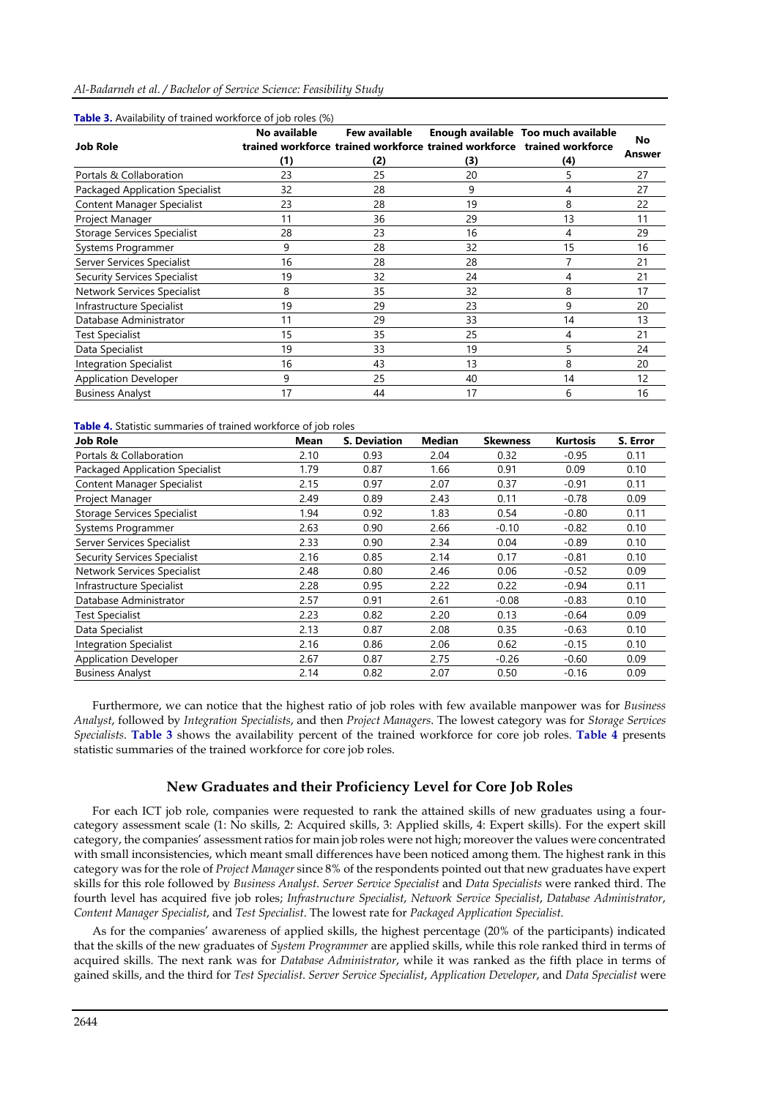### *Al-Badarneh et al. / Bachelor of Service Science: Feasibility Study*

| <b>Job Role</b>                    | No available | Few available |     | Enough available Too much available<br>trained workforce trained workforce trained workforce trained workforce | No     |
|------------------------------------|--------------|---------------|-----|----------------------------------------------------------------------------------------------------------------|--------|
|                                    | (1)          | (2)           | (3) | (4)                                                                                                            | Answer |
| Portals & Collaboration            | 23           | 25            | 20  | 5                                                                                                              | 27     |
| Packaged Application Specialist    | 32           | 28            | 9   | 4                                                                                                              | 27     |
| Content Manager Specialist         | 23           | 28            | 19  | 8                                                                                                              | 22     |
| Project Manager                    | 11           | 36            | 29  | 13                                                                                                             | 11     |
| <b>Storage Services Specialist</b> | 28           | 23            | 16  | 4                                                                                                              | 29     |
| Systems Programmer                 | 9            | 28            | 32  | 15                                                                                                             | 16     |
| Server Services Specialist         | 16           | 28            | 28  | 7                                                                                                              | 21     |
| Security Services Specialist       | 19           | 32            | 24  | 4                                                                                                              | 21     |
| Network Services Specialist        | 8            | 35            | 32  | 8                                                                                                              | 17     |
| Infrastructure Specialist          | 19           | 29            | 23  | 9                                                                                                              | 20     |
| Database Administrator             | 11           | 29            | 33  | 14                                                                                                             | 13     |
| <b>Test Specialist</b>             | 15           | 35            | 25  | 4                                                                                                              | 21     |
| Data Specialist                    | 19           | 33            | 19  | 5                                                                                                              | 24     |
| <b>Integration Specialist</b>      | 16           | 43            | 13  | 8                                                                                                              | 20     |
| <b>Application Developer</b>       | 9            | 25            | 40  | 14                                                                                                             | 12     |
| <b>Business Analyst</b>            | 17           | 44            | 17  | 6                                                                                                              | 16     |

### **Table 3.** Availability of trained workforce of job roles (%)

### **Table 4.** Statistic summaries of trained workforce of job roles

| <b>Job Role</b>                     | <b>Mean</b> | <b>S. Deviation</b> | Median | <b>Skewness</b> | Kurtosis | S. Error |
|-------------------------------------|-------------|---------------------|--------|-----------------|----------|----------|
| Portals & Collaboration             | 2.10        | 0.93                | 2.04   | 0.32            | $-0.95$  | 0.11     |
| Packaged Application Specialist     | 1.79        | 0.87                | 1.66   | 0.91            | 0.09     | 0.10     |
| <b>Content Manager Specialist</b>   | 2.15        | 0.97                | 2.07   | 0.37            | $-0.91$  | 0.11     |
| Project Manager                     | 2.49        | 0.89                | 2.43   | 0.11            | $-0.78$  | 0.09     |
| <b>Storage Services Specialist</b>  | 1.94        | 0.92                | 1.83   | 0.54            | $-0.80$  | 0.11     |
| Systems Programmer                  | 2.63        | 0.90                | 2.66   | $-0.10$         | $-0.82$  | 0.10     |
| Server Services Specialist          | 2.33        | 0.90                | 2.34   | 0.04            | $-0.89$  | 0.10     |
| <b>Security Services Specialist</b> | 2.16        | 0.85                | 2.14   | 0.17            | $-0.81$  | 0.10     |
| Network Services Specialist         | 2.48        | 0.80                | 2.46   | 0.06            | $-0.52$  | 0.09     |
| Infrastructure Specialist           | 2.28        | 0.95                | 2.22   | 0.22            | $-0.94$  | 0.11     |
| Database Administrator              | 2.57        | 0.91                | 2.61   | $-0.08$         | $-0.83$  | 0.10     |
| <b>Test Specialist</b>              | 2.23        | 0.82                | 2.20   | 0.13            | $-0.64$  | 0.09     |
| Data Specialist                     | 2.13        | 0.87                | 2.08   | 0.35            | $-0.63$  | 0.10     |
| <b>Integration Specialist</b>       | 2.16        | 0.86                | 2.06   | 0.62            | $-0.15$  | 0.10     |
| <b>Application Developer</b>        | 2.67        | 0.87                | 2.75   | $-0.26$         | $-0.60$  | 0.09     |
| <b>Business Analyst</b>             | 2.14        | 0.82                | 2.07   | 0.50            | $-0.16$  | 0.09     |

Furthermore, we can notice that the highest ratio of job roles with few available manpower was for *Business Analyst*, followed by *Integration Specialists*, and then *Project Managers*. The lowest category was for *Storage Services Specialists*. **Table 3** shows the availability percent of the trained workforce for core job roles. **Table 4** presents statistic summaries of the trained workforce for core job roles.

### **New Graduates and their Proficiency Level for Core Job Roles**

For each ICT job role, companies were requested to rank the attained skills of new graduates using a fourcategory assessment scale (1: No skills, 2: Acquired skills, 3: Applied skills, 4: Expert skills). For the expert skill category, the companies' assessment ratios for main job roles were not high; moreover the values were concentrated with small inconsistencies, which meant small differences have been noticed among them. The highest rank in this category was for the role of *Project Manager* since 8% of the respondents pointed out that new graduates have expert skills for this role followed by *Business Analyst*. *Server Service Specialist* and *Data Specialists* were ranked third. The fourth level has acquired five job roles; *Infrastructure Specialist*, *Network Service Specialist*, *Database Administrator*, *Content Manager Specialist*, and *Test Specialist*. The lowest rate for *Packaged Application Specialist*.

As for the companies' awareness of applied skills, the highest percentage (20% of the participants) indicated that the skills of the new graduates of *System Programmer* are applied skills, while this role ranked third in terms of acquired skills. The next rank was for *Database Administrator*, while it was ranked as the fifth place in terms of gained skills, and the third for *Test Specialist*. *Server Service Specialist*, *Application Developer*, and *Data Specialist* were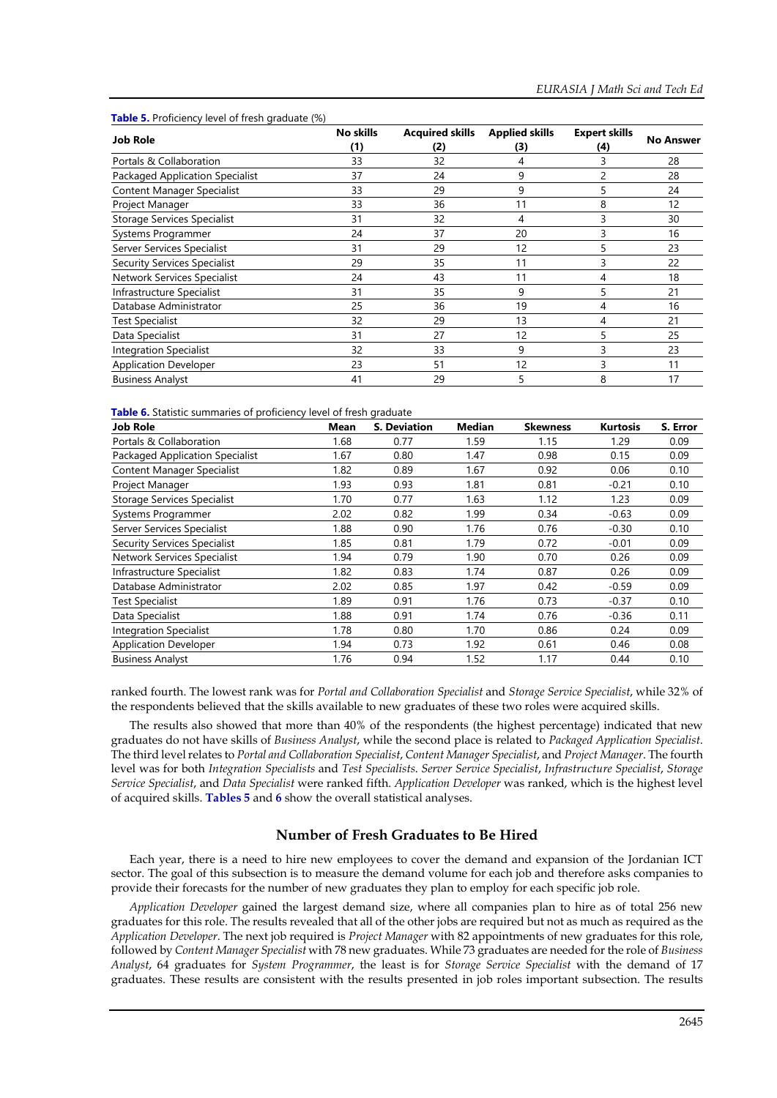#### **Table 5.** Proficiency level of fresh graduate (%)

|                                     | No skills | <b>Acquired skills</b> | <b>Applied skills</b> | <b>Expert skills</b> |                  |
|-------------------------------------|-----------|------------------------|-----------------------|----------------------|------------------|
| <b>Job Role</b>                     | (1)       | (2)                    | (3)                   | (4)                  | <b>No Answer</b> |
| Portals & Collaboration             | 33        | 32                     | 4                     | 3                    | 28               |
| Packaged Application Specialist     | 37        | 24                     | 9                     | 2                    | 28               |
| Content Manager Specialist          | 33        | 29                     | 9                     | 5                    | 24               |
| Project Manager                     | 33        | 36                     | 11                    | 8                    | 12               |
| <b>Storage Services Specialist</b>  | 31        | 32                     | 4                     | 3                    | 30               |
| Systems Programmer                  | 24        | 37                     | 20                    | 3                    | 16               |
| Server Services Specialist          | 31        | 29                     | 12                    | 5                    | 23               |
| <b>Security Services Specialist</b> | 29        | 35                     | 11                    | 3                    | 22               |
| <b>Network Services Specialist</b>  | 24        | 43                     | 11                    | 4                    | 18               |
| Infrastructure Specialist           | 31        | 35                     | 9                     | 5                    | 21               |
| Database Administrator              | 25        | 36                     | 19                    | 4                    | 16               |
| Test Specialist                     | 32        | 29                     | 13                    | 4                    | 21               |
| Data Specialist                     | 31        | 27                     | 12                    | 5                    | 25               |
| <b>Integration Specialist</b>       | 32        | 33                     | 9                     |                      | 23               |
| <b>Application Developer</b>        | 23        | 51                     | 12                    |                      | 11               |
| <b>Business Analyst</b>             | 41        | 29                     |                       | 8                    | 17               |

#### **Table 6.** Statistic summaries of proficiency level of fresh graduate

| Job Role                               | <b>Mean</b> | <b>S. Deviation</b> | Median | <b>Skewness</b> | <b>Kurtosis</b> | S. Error |
|----------------------------------------|-------------|---------------------|--------|-----------------|-----------------|----------|
| Portals & Collaboration                | 1.68        | 0.77                | 1.59   | 1.15            | 1.29            | 0.09     |
| <b>Packaged Application Specialist</b> | 1.67        | 0.80                | 1.47   | 0.98            | 0.15            | 0.09     |
| Content Manager Specialist             | 1.82        | 0.89                | 1.67   | 0.92            | 0.06            | 0.10     |
| Project Manager                        | 1.93        | 0.93                | 1.81   | 0.81            | $-0.21$         | 0.10     |
| <b>Storage Services Specialist</b>     | 1.70        | 0.77                | 1.63   | 1.12            | 1.23            | 0.09     |
| Systems Programmer                     | 2.02        | 0.82                | 1.99   | 0.34            | $-0.63$         | 0.09     |
| Server Services Specialist             | 1.88        | 0.90                | 1.76   | 0.76            | $-0.30$         | 0.10     |
| <b>Security Services Specialist</b>    | 1.85        | 0.81                | 1.79   | 0.72            | $-0.01$         | 0.09     |
| <b>Network Services Specialist</b>     | 1.94        | 0.79                | 1.90   | 0.70            | 0.26            | 0.09     |
| Infrastructure Specialist              | 1.82        | 0.83                | 1.74   | 0.87            | 0.26            | 0.09     |
| Database Administrator                 | 2.02        | 0.85                | 1.97   | 0.42            | $-0.59$         | 0.09     |
| <b>Test Specialist</b>                 | 1.89        | 0.91                | 1.76   | 0.73            | $-0.37$         | 0.10     |
| Data Specialist                        | 1.88        | 0.91                | 1.74   | 0.76            | $-0.36$         | 0.11     |
| <b>Integration Specialist</b>          | 1.78        | 0.80                | 1.70   | 0.86            | 0.24            | 0.09     |
| <b>Application Developer</b>           | 1.94        | 0.73                | 1.92   | 0.61            | 0.46            | 0.08     |
| <b>Business Analyst</b>                | 1.76        | 0.94                | 1.52   | 1.17            | 0.44            | 0.10     |

ranked fourth. The lowest rank was for *Portal and Collaboration Specialist* and *Storage Service Specialist*, while 32% of the respondents believed that the skills available to new graduates of these two roles were acquired skills.

The results also showed that more than 40% of the respondents (the highest percentage) indicated that new graduates do not have skills of *Business Analyst*, while the second place is related to *Packaged Application Specialist*. The third level relates to *Portal and Collaboration Specialist*, *Content Manager Specialist*, and *Project Manager*. The fourth level was for both *Integration Specialists* and *Test Specialists*. *Server Service Specialist*, *Infrastructure Specialist*, *Storage Service Specialist*, and *Data Specialist* were ranked fifth. *Application Developer* was ranked, which is the highest level of acquired skills. **Tables 5** and **6** show the overall statistical analyses.

### **Number of Fresh Graduates to Be Hired**

Each year, there is a need to hire new employees to cover the demand and expansion of the Jordanian ICT sector. The goal of this subsection is to measure the demand volume for each job and therefore asks companies to provide their forecasts for the number of new graduates they plan to employ for each specific job role.

*Application Developer* gained the largest demand size, where all companies plan to hire as of total 256 new graduates for this role. The results revealed that all of the other jobs are required but not as much as required as the *Application Developer*. The next job required is *Project Manager* with 82 appointments of new graduates for this role, followed by *Content Manager Specialist* with 78 new graduates. While 73 graduates are needed for the role of *Business Analyst*, 64 graduates for *System Programmer*, the least is for *Storage Service Specialist* with the demand of 17 graduates. These results are consistent with the results presented in job roles important subsection. The results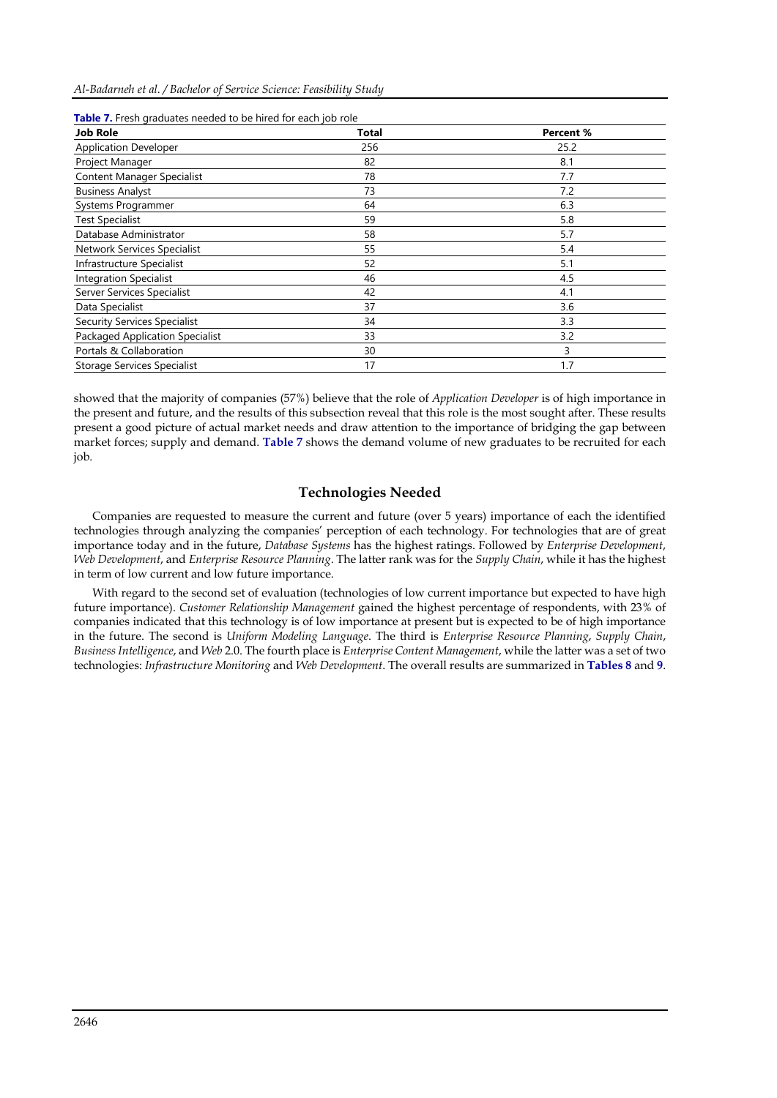*Al-Badarneh et al. / Bachelor of Service Science: Feasibility Study*

| <b>Job Role</b>                        | <b>Total</b> | Percent % |
|----------------------------------------|--------------|-----------|
| <b>Application Developer</b>           | 256          | 25.2      |
| Project Manager                        | 82           | 8.1       |
| <b>Content Manager Specialist</b>      | 78           | 7.7       |
| <b>Business Analyst</b>                | 73           | 7.2       |
| Systems Programmer                     | 64           | 6.3       |
| <b>Test Specialist</b>                 | 59           | 5.8       |
| Database Administrator                 | 58           | 5.7       |
| Network Services Specialist            | 55           | 5.4       |
| Infrastructure Specialist              | 52           | 5.1       |
| <b>Integration Specialist</b>          | 46           | 4.5       |
| Server Services Specialist             | 42           | 4.1       |
| Data Specialist                        | 37           | 3.6       |
| <b>Security Services Specialist</b>    | 34           | 3.3       |
| <b>Packaged Application Specialist</b> | 33           | 3.2       |
| Portals & Collaboration                | 30           | 3         |
| <b>Storage Services Specialist</b>     | 17           | 1.7       |

| Table 7. Fresh graduates needed to be hired for each job role |  |  |
|---------------------------------------------------------------|--|--|
|                                                               |  |  |

showed that the majority of companies (57%) believe that the role of *Application Developer* is of high importance in the present and future, and the results of this subsection reveal that this role is the most sought after. These results present a good picture of actual market needs and draw attention to the importance of bridging the gap between market forces; supply and demand. **Table 7** shows the demand volume of new graduates to be recruited for each job.

## **Technologies Needed**

Companies are requested to measure the current and future (over 5 years) importance of each the identified technologies through analyzing the companies' perception of each technology. For technologies that are of great importance today and in the future, *Database Systems* has the highest ratings. Followed by *Enterprise Development*, *Web Development*, and *Enterprise Resource Planning*. The latter rank was for the *Supply Chain*, while it has the highest in term of low current and low future importance.

With regard to the second set of evaluation (technologies of low current importance but expected to have high future importance). *Customer Relationship Management* gained the highest percentage of respondents, with 23% of companies indicated that this technology is of low importance at present but is expected to be of high importance in the future. The second is *Uniform Modeling Language*. The third is *Enterprise Resource Planning*, *Supply Chain*, *Business Intelligence*, and *Web* 2.0. The fourth place is *Enterprise Content Management*, while the latter was a set of two technologies: *Infrastructure Monitoring* and *Web Development*. The overall results are summarized in **Tables 8** and **9**.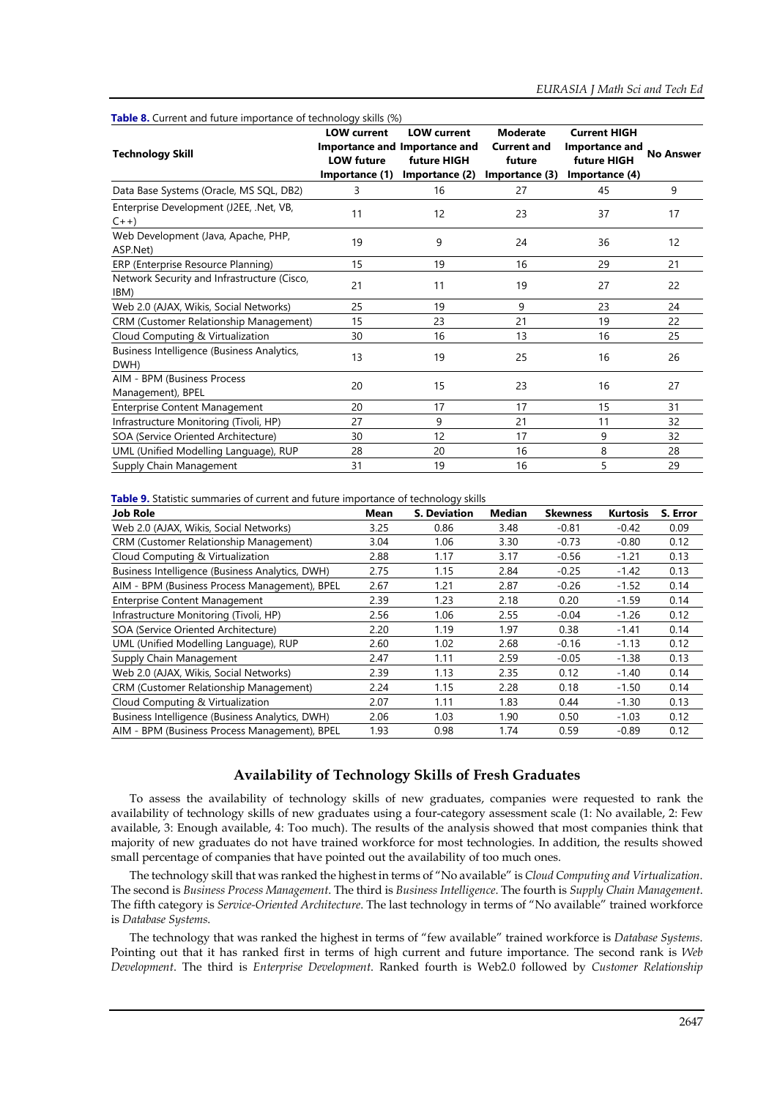| <b>Table 8.</b> Current and future importance of technology skills (%) |                                                           |                                                                                      |                                                                   |                                                                        |                  |
|------------------------------------------------------------------------|-----------------------------------------------------------|--------------------------------------------------------------------------------------|-------------------------------------------------------------------|------------------------------------------------------------------------|------------------|
| <b>Technology Skill</b>                                                | <b>LOW</b> current<br><b>LOW future</b><br>Importance (1) | <b>LOW current</b><br>Importance and Importance and<br>future HIGH<br>Importance (2) | <b>Moderate</b><br><b>Current and</b><br>future<br>Importance (3) | <b>Current HIGH</b><br>Importance and<br>future HIGH<br>Importance (4) | <b>No Answer</b> |
| Data Base Systems (Oracle, MS SQL, DB2)                                | 3                                                         | 16                                                                                   | 27                                                                | 45                                                                     | 9                |
| Enterprise Development (J2EE, .Net, VB,<br>$C_{++}$                    | 11                                                        | 12                                                                                   | 23                                                                | 37                                                                     | 17               |
| Web Development (Java, Apache, PHP,<br>ASP.Net)                        | 19                                                        | 9                                                                                    | 24                                                                | 36                                                                     | 12               |
| ERP (Enterprise Resource Planning)                                     | 15                                                        | 19                                                                                   | 16                                                                | 29                                                                     | 21               |
| Network Security and Infrastructure (Cisco,<br>IBM)                    | 21                                                        | 11                                                                                   | 19                                                                | 27                                                                     | 22               |
| Web 2.0 (AJAX, Wikis, Social Networks)                                 | 25                                                        | 19                                                                                   | 9                                                                 | 23                                                                     | 24               |
| <b>CRM (Customer Relationship Management)</b>                          | 15                                                        | 23                                                                                   | 21                                                                | 19                                                                     | 22               |
| Cloud Computing & Virtualization                                       | 30                                                        | 16                                                                                   | 13                                                                | 16                                                                     | 25               |
| Business Intelligence (Business Analytics,<br>DWH)                     | 13                                                        | 19                                                                                   | 25                                                                | 16                                                                     | 26               |
| AIM - BPM (Business Process<br>Management), BPEL                       | 20                                                        | 15                                                                                   | 23                                                                | 16                                                                     | 27               |
| <b>Enterprise Content Management</b>                                   | 20                                                        | 17                                                                                   | 17                                                                | 15                                                                     | 31               |
| Infrastructure Monitoring (Tivoli, HP)                                 | 27                                                        | 9                                                                                    | 21                                                                | 11                                                                     | 32               |
| SOA (Service Oriented Architecture)                                    | 30                                                        | 12                                                                                   | 17                                                                | 9                                                                      | 32               |
| UML (Unified Modelling Language), RUP                                  | 28                                                        | 20                                                                                   | 16                                                                | 8                                                                      | 28               |
| Supply Chain Management                                                | 31                                                        | 19                                                                                   | 16                                                                | 5                                                                      | 29               |

**Table 9.** Statistic summaries of current and future importance of technology skills

| <b>Job Role</b>                                 | Mean | <b>S. Deviation</b> | Median | <b>Skewness</b> | <b>Kurtosis</b> | S. Error |
|-------------------------------------------------|------|---------------------|--------|-----------------|-----------------|----------|
| Web 2.0 (AJAX, Wikis, Social Networks)          | 3.25 | 0.86                | 3.48   | $-0.81$         | $-0.42$         | 0.09     |
| <b>CRM (Customer Relationship Management)</b>   | 3.04 | 1.06                | 3.30   | $-0.73$         | $-0.80$         | 0.12     |
| Cloud Computing & Virtualization                | 2.88 | 1.17                | 3.17   | $-0.56$         | $-1.21$         | 0.13     |
| Business Intelligence (Business Analytics, DWH) | 2.75 | 1.15                | 2.84   | $-0.25$         | $-1.42$         | 0.13     |
| AIM - BPM (Business Process Management), BPEL   | 2.67 | 1.21                | 2.87   | $-0.26$         | $-1.52$         | 0.14     |
| <b>Enterprise Content Management</b>            | 2.39 | 1.23                | 2.18   | 0.20            | $-1.59$         | 0.14     |
| Infrastructure Monitoring (Tivoli, HP)          | 2.56 | 1.06                | 2.55   | $-0.04$         | $-1.26$         | 0.12     |
| SOA (Service Oriented Architecture)             | 2.20 | 1.19                | 1.97   | 0.38            | $-1.41$         | 0.14     |
| UML (Unified Modelling Language), RUP           | 2.60 | 1.02                | 2.68   | $-0.16$         | $-1.13$         | 0.12     |
| Supply Chain Management                         | 2.47 | 1.11                | 2.59   | $-0.05$         | $-1.38$         | 0.13     |
| Web 2.0 (AJAX, Wikis, Social Networks)          | 2.39 | 1.13                | 2.35   | 0.12            | -1.40           | 0.14     |
| CRM (Customer Relationship Management)          | 2.24 | 1.15                | 2.28   | 0.18            | $-1.50$         | 0.14     |
| Cloud Computing & Virtualization                | 2.07 | 1.11                | 1.83   | 0.44            | $-1.30$         | 0.13     |
| Business Intelligence (Business Analytics, DWH) | 2.06 | 1.03                | 1.90   | 0.50            | $-1.03$         | 0.12     |
| AIM - BPM (Business Process Management), BPEL   | 1.93 | 0.98                | 1.74   | 0.59            | $-0.89$         | 0.12     |

## **Availability of Technology Skills of Fresh Graduates**

To assess the availability of technology skills of new graduates, companies were requested to rank the availability of technology skills of new graduates using a four-category assessment scale (1: No available, 2: Few available, 3: Enough available, 4: Too much). The results of the analysis showed that most companies think that majority of new graduates do not have trained workforce for most technologies. In addition, the results showed small percentage of companies that have pointed out the availability of too much ones.

The technology skill that was ranked the highest in terms of "No available" is *Cloud Computing and Virtualization*. The second is *Business Process Management*. The third is *Business Intelligence*. The fourth is *Supply Chain Management*. The fifth category is *Service-Oriented Architecture*. The last technology in terms of "No available" trained workforce is *Database Systems*.

The technology that was ranked the highest in terms of "few available" trained workforce is *Database Systems*. Pointing out that it has ranked first in terms of high current and future importance. The second rank is *Web Development*. The third is *Enterprise Development*. Ranked fourth is Web2.0 followed by *Customer Relationship*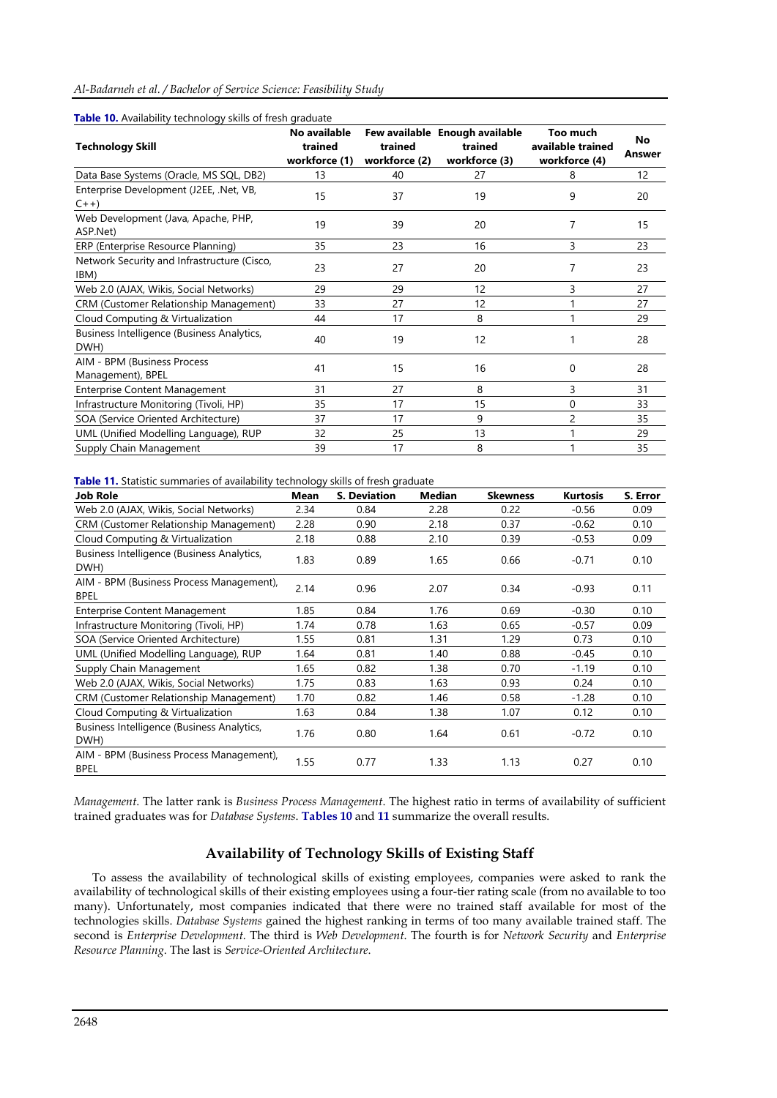### *Al-Badarneh et al. / Bachelor of Service Science: Feasibility Study*

| <b>Table 10.</b> Availability technology skills of fresh graduate |               |               |                                |                   |        |
|-------------------------------------------------------------------|---------------|---------------|--------------------------------|-------------------|--------|
|                                                                   | No available  |               | Few available Enough available | Too much          | No     |
| <b>Technology Skill</b>                                           | trained       | trained       | trained                        | available trained | Answer |
|                                                                   | workforce (1) | workforce (2) | workforce (3)                  | workforce (4)     |        |
| Data Base Systems (Oracle, MS SQL, DB2)                           | 13            | 40            | 27                             | 8                 | 12     |
| Enterprise Development (J2EE, .Net, VB,                           | 15            | 37            | 19                             | 9                 | 20     |
| $C_{++}$                                                          |               |               |                                |                   |        |
| Web Development (Java, Apache, PHP,                               | 19            | 39            |                                | 7                 |        |
| ASP.Net)                                                          |               |               | 20                             |                   | 15     |
| ERP (Enterprise Resource Planning)                                | 35            | 23            | 16                             | 3                 | 23     |
| Network Security and Infrastructure (Cisco,                       |               |               |                                |                   |        |
| IBM)                                                              | 23            | 27            | 20                             | 7                 | 23     |
| Web 2.0 (AJAX, Wikis, Social Networks)                            | 29            | 29            | 12                             | 3                 | 27     |
| <b>CRM (Customer Relationship Management)</b>                     | 33            | 27            | 12                             |                   | 27     |
| Cloud Computing & Virtualization                                  | 44            | 17            | 8                              |                   | 29     |
| Business Intelligence (Business Analytics,                        | 40            | 19            | 12                             |                   | 28     |
| DWH)                                                              |               |               |                                |                   |        |
| AIM - BPM (Business Process                                       | 41            | 15            | 16                             | 0                 | 28     |
| Management), BPEL                                                 |               |               |                                |                   |        |
| <b>Enterprise Content Management</b>                              | 31            | 27            | 8                              | 3                 | 31     |
| Infrastructure Monitoring (Tivoli, HP)                            | 35            | 17            | 15                             | 0                 | 33     |
| SOA (Service Oriented Architecture)                               | 37            | 17            | 9                              | 2                 | 35     |
| UML (Unified Modelling Language), RUP                             | 32            | 25            | 13                             |                   | 29     |
| Supply Chain Management                                           | 39            | 17            | 8                              |                   | 35     |
|                                                                   |               |               |                                |                   |        |

### **Table 10.** Availability technology skills of fresh graduate

**Table 11.** Statistic summaries of availability technology skills of fresh graduate

| <b>Job Role</b>                                         | <b>Mean</b> | <b>S. Deviation</b> | Median | <b>Skewness</b> | <b>Kurtosis</b> | S. Error |
|---------------------------------------------------------|-------------|---------------------|--------|-----------------|-----------------|----------|
| Web 2.0 (AJAX, Wikis, Social Networks)                  | 2.34        | 0.84                | 2.28   | 0.22            | $-0.56$         | 0.09     |
| <b>CRM (Customer Relationship Management)</b>           | 2.28        | 0.90                | 2.18   | 0.37            | $-0.62$         | 0.10     |
| Cloud Computing & Virtualization                        | 2.18        | 0.88                | 2.10   | 0.39            | $-0.53$         | 0.09     |
| Business Intelligence (Business Analytics,<br>DWH)      | 1.83        | 0.89                | 1.65   | 0.66            | $-0.71$         | 0.10     |
| AIM - BPM (Business Process Management),<br><b>BPEL</b> | 2.14        | 0.96                | 2.07   | 0.34            | $-0.93$         | 0.11     |
| <b>Enterprise Content Management</b>                    | 1.85        | 0.84                | 1.76   | 0.69            | $-0.30$         | 0.10     |
| Infrastructure Monitoring (Tivoli, HP)                  | 1.74        | 0.78                | 1.63   | 0.65            | $-0.57$         | 0.09     |
| SOA (Service Oriented Architecture)                     | 1.55        | 0.81                | 1.31   | 1.29            | 0.73            | 0.10     |
| UML (Unified Modelling Language), RUP                   | 1.64        | 0.81                | 1.40   | 0.88            | $-0.45$         | 0.10     |
| Supply Chain Management                                 | 1.65        | 0.82                | 1.38   | 0.70            | $-1.19$         | 0.10     |
| Web 2.0 (AJAX, Wikis, Social Networks)                  | 1.75        | 0.83                | 1.63   | 0.93            | 0.24            | 0.10     |
| <b>CRM (Customer Relationship Management)</b>           | 1.70        | 0.82                | 1.46   | 0.58            | $-1.28$         | 0.10     |
| Cloud Computing & Virtualization                        | 1.63        | 0.84                | 1.38   | 1.07            | 0.12            | 0.10     |
| Business Intelligence (Business Analytics,<br>DWH)      | 1.76        | 0.80                | 1.64   | 0.61            | $-0.72$         | 0.10     |
| AIM - BPM (Business Process Management),<br><b>BPEL</b> | 1.55        | 0.77                | 1.33   | 1.13            | 0.27            | 0.10     |

*Management*. The latter rank is *Business Process Management*. The highest ratio in terms of availability of sufficient trained graduates was for *Database Systems*. **Tables 10** and **11** summarize the overall results.

## **Availability of Technology Skills of Existing Staff**

To assess the availability of technological skills of existing employees, companies were asked to rank the availability of technological skills of their existing employees using a four-tier rating scale (from no available to too many). Unfortunately, most companies indicated that there were no trained staff available for most of the technologies skills. *Database Systems* gained the highest ranking in terms of too many available trained staff. The second is *Enterprise Development*. The third is *Web Development*. The fourth is for *Network Security* and *Enterprise Resource Planning*. The last is *Service-Oriented Architecture*.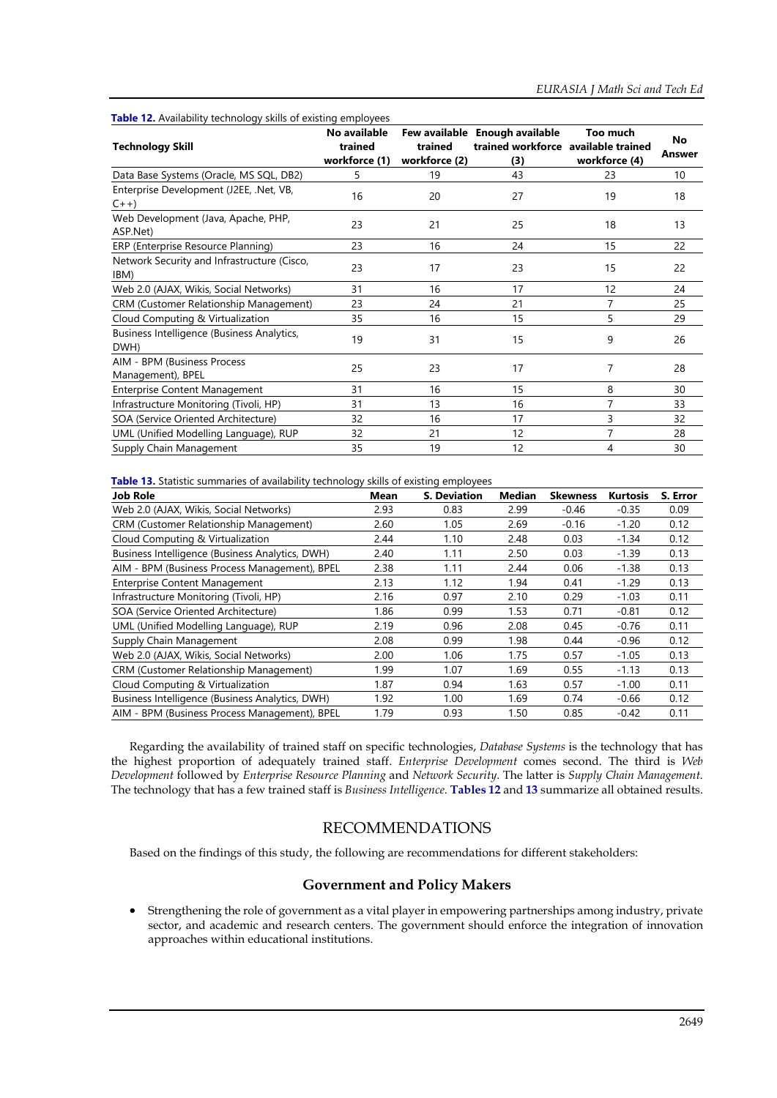| <b>Technology Skill</b>                             | No available<br>trained<br>workforce (1) | trained<br>workforce (2) | Few available Enough available<br>trained workforce available trained<br>(3) | Too much<br>workforce (4) | No<br>Answer |
|-----------------------------------------------------|------------------------------------------|--------------------------|------------------------------------------------------------------------------|---------------------------|--------------|
| Data Base Systems (Oracle, MS SQL, DB2)             | 5                                        | 19                       | 43                                                                           | 23                        | 10           |
| Enterprise Development (J2EE, .Net, VB,<br>$C++)$   | 16                                       | 20                       | 27                                                                           | 19                        | 18           |
| Web Development (Java, Apache, PHP,<br>ASP.Net)     | 23                                       | 21                       | 25                                                                           | 18                        | 13           |
| ERP (Enterprise Resource Planning)                  | 23                                       | 16                       | 24                                                                           | 15                        | 22           |
| Network Security and Infrastructure (Cisco,<br>IBM) | 23                                       | 17                       | 23                                                                           | 15                        | 22           |
| Web 2.0 (AJAX, Wikis, Social Networks)              | 31                                       | 16                       | 17                                                                           | 12                        | 24           |
| <b>CRM (Customer Relationship Management)</b>       | 23                                       | 24                       | 21                                                                           | 7                         | 25           |
| Cloud Computing & Virtualization                    | 35                                       | 16                       | 15                                                                           | 5                         | 29           |
| Business Intelligence (Business Analytics,<br>DWH)  | 19                                       | 31                       | 15                                                                           | 9                         | 26           |
| AIM - BPM (Business Process<br>Management), BPEL    | 25                                       | 23                       | 17                                                                           | 7                         | 28           |
| <b>Enterprise Content Management</b>                | 31                                       | 16                       | 15                                                                           | 8                         | 30           |
| Infrastructure Monitoring (Tivoli, HP)              | 31                                       | 13                       | 16                                                                           | 7                         | 33           |
| SOA (Service Oriented Architecture)                 | 32                                       | 16                       | 17                                                                           | 3                         | 32           |
| UML (Unified Modelling Language), RUP               | 32                                       | 21                       | 12                                                                           | 7                         | 28           |
| Supply Chain Management                             | 35                                       | 19                       | 12                                                                           | 4                         | 30           |

**Table 12.** Availability technology skills of existing employees

**Table 13.** Statistic summaries of availability technology skills of existing employees

| <b>Job Role</b>                                 | Mean | <b>S. Deviation</b> | Median | <b>Skewness</b> | <b>Kurtosis</b> | S. Error |
|-------------------------------------------------|------|---------------------|--------|-----------------|-----------------|----------|
| Web 2.0 (AJAX, Wikis, Social Networks)          | 2.93 | 0.83                | 2.99   | $-0.46$         | $-0.35$         | 0.09     |
| <b>CRM (Customer Relationship Management)</b>   | 2.60 | 1.05                | 2.69   | $-0.16$         | $-1.20$         | 0.12     |
| Cloud Computing & Virtualization                | 2.44 | 1.10                | 2.48   | 0.03            | $-1.34$         | 0.12     |
| Business Intelligence (Business Analytics, DWH) | 2.40 | 1.11                | 2.50   | 0.03            | $-1.39$         | 0.13     |
| AIM - BPM (Business Process Management), BPEL   | 2.38 | 1.11                | 2.44   | 0.06            | $-1.38$         | 0.13     |
| <b>Enterprise Content Management</b>            | 2.13 | 1.12                | 1.94   | 0.41            | $-1.29$         | 0.13     |
| Infrastructure Monitoring (Tivoli, HP)          | 2.16 | 0.97                | 2.10   | 0.29            | $-1.03$         | 0.11     |
| SOA (Service Oriented Architecture)             | 1.86 | 0.99                | 1.53   | 0.71            | $-0.81$         | 0.12     |
| UML (Unified Modelling Language), RUP           | 2.19 | 0.96                | 2.08   | 0.45            | $-0.76$         | 0.11     |
| Supply Chain Management                         | 2.08 | 0.99                | 1.98   | 0.44            | $-0.96$         | 0.12     |
| Web 2.0 (AJAX, Wikis, Social Networks)          | 2.00 | 1.06                | 1.75   | 0.57            | $-1.05$         | 0.13     |
| <b>CRM (Customer Relationship Management)</b>   | 1.99 | 1.07                | 1.69   | 0.55            | $-1.13$         | 0.13     |
| Cloud Computing & Virtualization                | 1.87 | 0.94                | 1.63   | 0.57            | $-1.00$         | 0.11     |
| Business Intelligence (Business Analytics, DWH) | 1.92 | 1.00                | 1.69   | 0.74            | $-0.66$         | 0.12     |
| AIM - BPM (Business Process Management), BPEL   | 1.79 | 0.93                | 1.50   | 0.85            | $-0.42$         | 0.11     |

Regarding the availability of trained staff on specific technologies, *Database Systems* is the technology that has the highest proportion of adequately trained staff. *Enterprise Development* comes second. The third is *Web Development* followed by *Enterprise Resource Planning* and *Network Security*. The latter is *Supply Chain Management*. The technology that has a few trained staff is *Business Intelligence*. **Tables 12** and **13** summarize all obtained results.

## RECOMMENDATIONS

Based on the findings of this study, the following are recommendations for different stakeholders:

### **Government and Policy Makers**

• Strengthening the role of government as a vital player in empowering partnerships among industry, private sector, and academic and research centers. The government should enforce the integration of innovation approaches within educational institutions.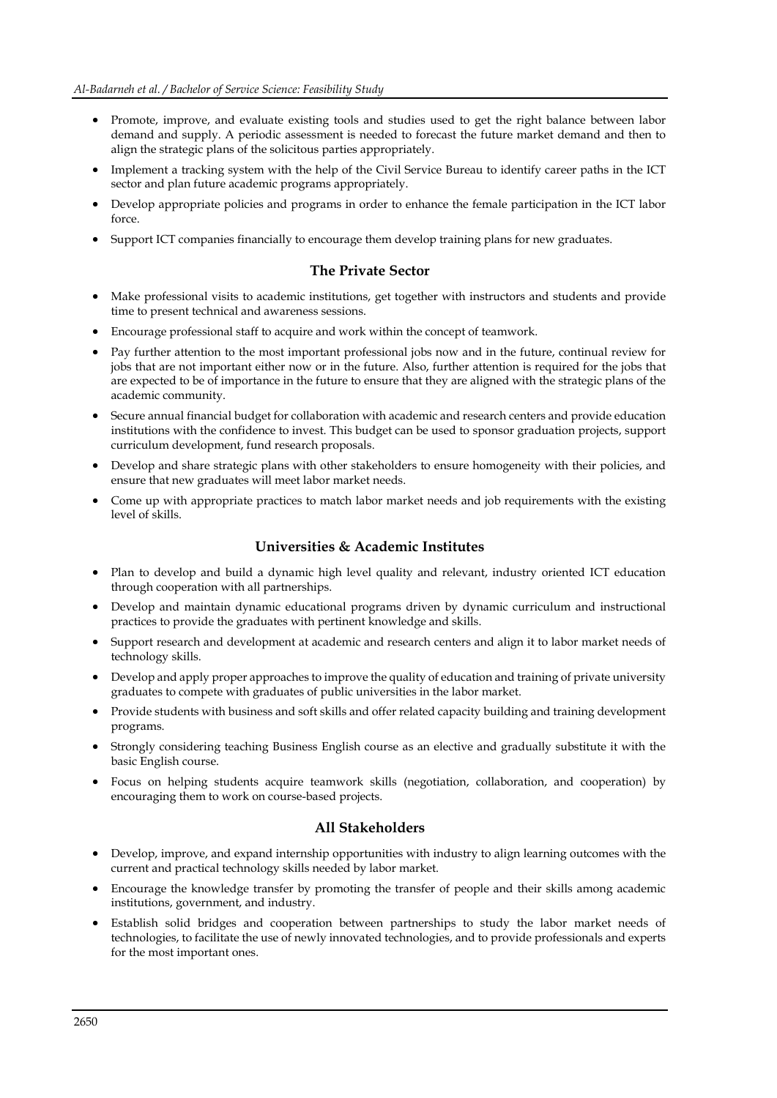- Promote, improve, and evaluate existing tools and studies used to get the right balance between labor demand and supply. A periodic assessment is needed to forecast the future market demand and then to align the strategic plans of the solicitous parties appropriately.
- Implement a tracking system with the help of the Civil Service Bureau to identify career paths in the ICT sector and plan future academic programs appropriately.
- Develop appropriate policies and programs in order to enhance the female participation in the ICT labor force.
- Support ICT companies financially to encourage them develop training plans for new graduates.

## **The Private Sector**

- Make professional visits to academic institutions, get together with instructors and students and provide time to present technical and awareness sessions.
- Encourage professional staff to acquire and work within the concept of teamwork.
- Pay further attention to the most important professional jobs now and in the future, continual review for jobs that are not important either now or in the future. Also, further attention is required for the jobs that are expected to be of importance in the future to ensure that they are aligned with the strategic plans of the academic community.
- Secure annual financial budget for collaboration with academic and research centers and provide education institutions with the confidence to invest. This budget can be used to sponsor graduation projects, support curriculum development, fund research proposals.
- Develop and share strategic plans with other stakeholders to ensure homogeneity with their policies, and ensure that new graduates will meet labor market needs.
- Come up with appropriate practices to match labor market needs and job requirements with the existing level of skills.

## **Universities & Academic Institutes**

- Plan to develop and build a dynamic high level quality and relevant, industry oriented ICT education through cooperation with all partnerships.
- Develop and maintain dynamic educational programs driven by dynamic curriculum and instructional practices to provide the graduates with pertinent knowledge and skills.
- Support research and development at academic and research centers and align it to labor market needs of technology skills.
- Develop and apply proper approaches to improve the quality of education and training of private university graduates to compete with graduates of public universities in the labor market.
- Provide students with business and soft skills and offer related capacity building and training development programs.
- Strongly considering teaching Business English course as an elective and gradually substitute it with the basic English course.
- Focus on helping students acquire teamwork skills (negotiation, collaboration, and cooperation) by encouraging them to work on course-based projects.

## **All Stakeholders**

- Develop, improve, and expand internship opportunities with industry to align learning outcomes with the current and practical technology skills needed by labor market.
- Encourage the knowledge transfer by promoting the transfer of people and their skills among academic institutions, government, and industry.
- Establish solid bridges and cooperation between partnerships to study the labor market needs of technologies, to facilitate the use of newly innovated technologies, and to provide professionals and experts for the most important ones.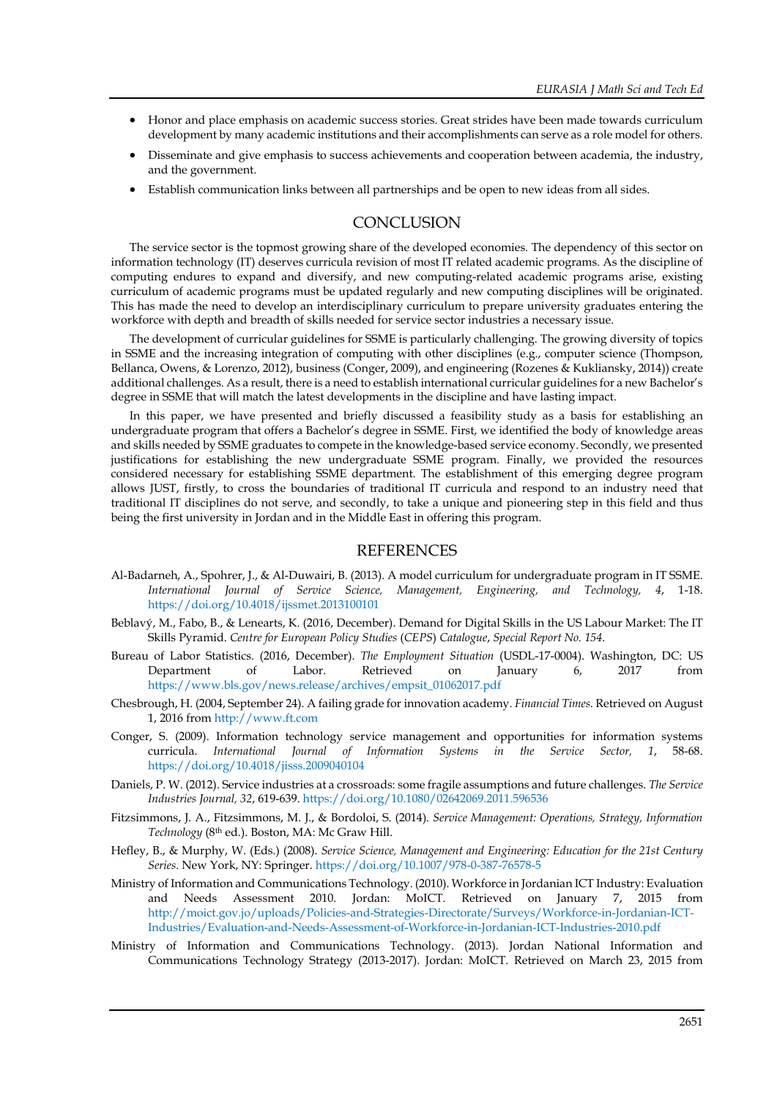- Honor and place emphasis on academic success stories. Great strides have been made towards curriculum development by many academic institutions and their accomplishments can serve as a role model for others.
- Disseminate and give emphasis to success achievements and cooperation between academia, the industry, and the government.
- Establish communication links between all partnerships and be open to new ideas from all sides.

## **CONCLUSION**

The service sector is the topmost growing share of the developed economies. The dependency of this sector on information technology (IT) deserves curricula revision of most IT related academic programs. As the discipline of computing endures to expand and diversify, and new computing-related academic programs arise, existing curriculum of academic programs must be updated regularly and new computing disciplines will be originated. This has made the need to develop an interdisciplinary curriculum to prepare university graduates entering the workforce with depth and breadth of skills needed for service sector industries a necessary issue.

The development of curricular guidelines for SSME is particularly challenging. The growing diversity of topics in SSME and the increasing integration of computing with other disciplines (e.g., computer science (Thompson, Bellanca, Owens, & Lorenzo, 2012), business (Conger, 2009), and engineering (Rozenes & Kukliansky, 2014)) create additional challenges. As a result, there is a need to establish international curricular guidelines for a new Bachelor's degree in SSME that will match the latest developments in the discipline and have lasting impact.

In this paper, we have presented and briefly discussed a feasibility study as a basis for establishing an undergraduate program that offers a Bachelor's degree in SSME. First, we identified the body of knowledge areas and skills needed by SSME graduates to compete in the knowledge-based service economy. Secondly, we presented justifications for establishing the new undergraduate SSME program. Finally, we provided the resources considered necessary for establishing SSME department. The establishment of this emerging degree program allows JUST, firstly, to cross the boundaries of traditional IT curricula and respond to an industry need that traditional IT disciplines do not serve, and secondly, to take a unique and pioneering step in this field and thus being the first university in Jordan and in the Middle East in offering this program.

### **REFERENCES**

- Al-Badarneh, A., Spohrer, J., & Al-Duwairi, B. (2013). A model curriculum for undergraduate program in IT SSME. *International Journal of Service Science, Management, Engineering, and Technology, 4*, 1-18. <https://doi.org/10.4018/ijssmet.2013100101>
- Beblavý, M., Fabo, B., & Lenearts, K. (2016, December). Demand for Digital Skills in the US Labour Market: The IT Skills Pyramid. *Centre for European Policy Studies* (*CEPS*) *Catalogue*, *Special Report No. 154*.
- Bureau of Labor Statistics. (2016, December). *The Employment Situation* (USDL-17-0004). Washington, DC: US Department of Labor. Retrieved on January 6, 2017 from [https://www.bls.gov/news.release/archives/empsit\\_01062017.pdf](https://www.bls.gov/news.release/archives/empsit_01062017.pdf)
- Chesbrough, H. (2004, September 24). A failing grade for innovation academy. *Financial Times*. Retrieved on August 1, 2016 fro[m http://www.ft.com](http://www.ft.com/)
- Conger, S. (2009). Information technology service management and opportunities for information systems curricula. *International Journal of Information Systems in the Service Sector, 1*, 58-68. <https://doi.org/10.4018/jisss.2009040104>
- Daniels, P. W. (2012). Service industries at a crossroads: some fragile assumptions and future challenges. *The Service Industries Journal, 32*, 619-639[. https://doi.org/10.1080/02642069.2011.596536](https://doi.org/10.1080/02642069.2011.596536)
- Fitzsimmons, J. A., Fitzsimmons, M. J., & Bordoloi, S. (2014). *Service Management: Operations, Strategy, Information Technology* (8th ed.). Boston, MA: Mc Graw Hill.
- Hefley, B., & Murphy, W. (Eds.) (2008). *Service Science, Management and Engineering: Education for the 21st Century Series*. New York, NY: Springer.<https://doi.org/10.1007/978-0-387-76578-5>
- Ministry of Information and Communications Technology. (2010). Workforce in Jordanian ICT Industry: Evaluation and Needs Assessment 2010. Jordan: MoICT. Retrieved on January 7, 2015 from [http://moict.gov.jo/uploads/Policies-and-Strategies-Directorate/Surveys/Workforce-in-Jordanian-ICT-](http://moict.gov.jo/uploads/Policies-and-Strategies-Directorate/Surveys/Workforce-in-Jordanian-ICT-Industries/Evaluation-and-Needs-Assessment-of-Workforce-in-Jordanian-ICT-Industries-2010.pdf)[Industries/Evaluation-and-Needs-Assessment-of-Workforce-in-Jordanian-ICT-Industries-2010.pdf](http://moict.gov.jo/uploads/Policies-and-Strategies-Directorate/Surveys/Workforce-in-Jordanian-ICT-Industries/Evaluation-and-Needs-Assessment-of-Workforce-in-Jordanian-ICT-Industries-2010.pdf)
- Ministry of Information and Communications Technology. (2013). Jordan National Information and Communications Technology Strategy (2013-2017). Jordan: MoICT. Retrieved on March 23, 2015 from